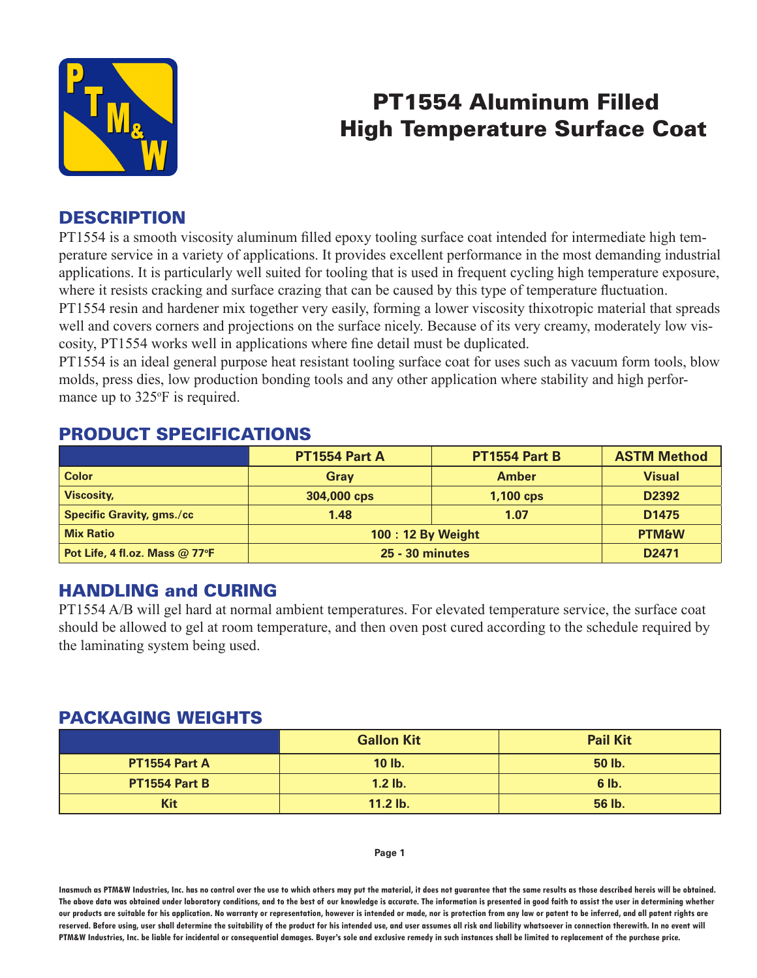

# PT1554 Aluminum Filled High Temperature Surface Coat

### **DESCRIPTION**

PT1554 is a smooth viscosity aluminum filled epoxy tooling surface coat intended for intermediate high temperature service in a variety of applications. It provides excellent performance in the most demanding industrial applications. It is particularly well suited for tooling that is used in frequent cycling high temperature exposure, where it resists cracking and surface crazing that can be caused by this type of temperature fluctuation. PT1554 resin and hardener mix together very easily, forming a lower viscosity thixotropic material that spreads

well and covers corners and projections on the surface nicely. Because of its very creamy, moderately low viscosity, PT1554 works well in applications where fine detail must be duplicated.

PT1554 is an ideal general purpose heat resistant tooling surface coat for uses such as vacuum form tools, blow molds, press dies, low production bonding tools and any other application where stability and high performance up to 325°F is required.

#### PRODUCT SPECIFICATIONS

|                                  | <b>PT1554 Part A</b>   | <b>PT1554 Part B</b> | <b>ASTM Method</b> |
|----------------------------------|------------------------|----------------------|--------------------|
| <b>Color</b>                     | Gray                   | <b>Amber</b>         | <b>Visual</b>      |
| <b>Viscosity,</b>                | 304,000 cps            | $1,100$ cps          | D <sub>2392</sub>  |
| <b>Specific Gravity, gms./cc</b> | 1.48                   | 1.07                 | D <sub>1475</sub>  |
| <b>Mix Ratio</b>                 | 100 : 12 By Weight     |                      | <b>PTM&amp;W</b>   |
| Pot Life, 4 fl.oz. Mass @ 77°F   | <b>25 - 30 minutes</b> |                      | D <sub>2471</sub>  |

#### HANDLING and CURING

PT1554 A/B will gel hard at normal ambient temperatures. For elevated temperature service, the surface coat should be allowed to gel at room temperature, and then oven post cured according to the schedule required by the laminating system being used.

#### PACKAGING WEIGHTS

|               | <b>Gallon Kit</b> | <b>Pail Kit</b> |
|---------------|-------------------|-----------------|
| PT1554 Part A | 10 lb.            | 50 lb.          |
| PT1554 Part B | $1.2$ lb.         | 6 lb.           |
| <b>Kit</b>    | 11.2 lb.          | 56 lb.          |

#### **Page 1**

**Inasmuch as PTM&W Industries, Inc. has no control over the use to which others may put the material, it does not guarantee that the same results as those described hereis will be obtained. The above data was obtained under laboratory conditions, and to the best of our knowledge is accurate. The information is presented in good faith to assist the user in determining whether our products are suitable for his application. No warranty or representation, however is intended or made, nor is protection from any law or patent to be inferred, and all patent rights are**  reserved. Before using, user shall determine the suitability of the product for his intended use, and user assumes all risk and liability whatsoever in connection therewith. In no event will **PTM&W Industries, Inc. be liable for incidental or consequential damages. Buyer's sole and exclusive remedy in such instances shall be limited to replacement of the purchase price.**